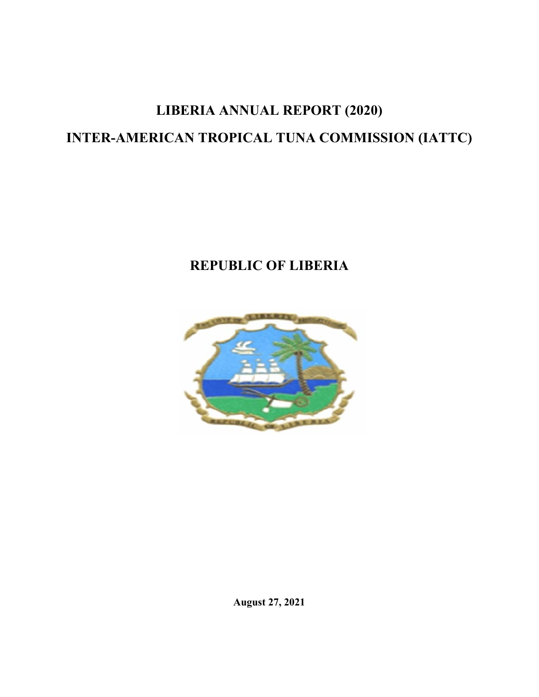# **LIBERIA ANNUAL REPORT (2020) INTER-AMERICAN TROPICAL TUNA COMMISSION (IATTC)**

# **REPUBLIC OF LIBERIA**



**August 27, 2021**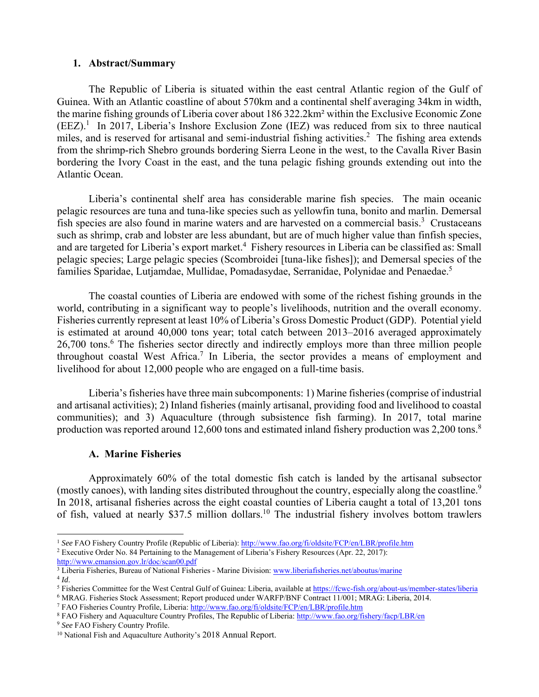#### **1. Abstract/Summary**

The Republic of Liberia is situated within the east central Atlantic region of the Gulf of Guinea. With an Atlantic coastline of about 570km and a continental shelf averaging 34km in width, the marine fishing grounds of Liberia cover about 186 322.2km² within the Exclusive Economic Zone  $(EEZ).<sup>1</sup>$  In 2017, Liberia's Inshore Exclusion Zone (IEZ) was reduced from six to three nautical miles, and is reserved for artisanal and semi-industrial fishing activities.<sup>2</sup> The fishing area extends from the shrimp-rich Shebro grounds bordering Sierra Leone in the west, to the Cavalla River Basin bordering the Ivory Coast in the east, and the tuna pelagic fishing grounds extending out into the Atlantic Ocean.

Liberia's continental shelf area has considerable marine fish species. The main oceanic pelagic resources are tuna and tuna-like species such as yellowfin tuna, bonito and marlin. Demersal fish species are also found in marine waters and are harvested on a commercial basis.<sup>3</sup> Crustaceans such as shrimp, crab and lobster are less abundant, but are of much higher value than finfish species, and are targeted for Liberia's export market.<sup>4</sup> Fishery resources in Liberia can be classified as: Small pelagic species; Large pelagic species (Scombroidei [tuna-like fishes]); and Demersal species of the families Sparidae, Lutjamdae, Mullidae, Pomadasydae, Serranidae, Polynidae and Penaedae.<sup>5</sup>

The coastal counties of Liberia are endowed with some of the richest fishing grounds in the world, contributing in a significant way to people's livelihoods, nutrition and the overall economy. Fisheries currently represent at least 10% of Liberia's Gross Domestic Product (GDP). Potential yield is estimated at around 40,000 tons year; total catch between 2013–2016 averaged approximately 26,700 tons.<sup>6</sup> The fisheries sector directly and indirectly employs more than three million people throughout coastal West Africa.<sup>7</sup> In Liberia, the sector provides a means of employment and livelihood for about 12,000 people who are engaged on a full-time basis.

Liberia's fisheries have three main subcomponents: 1) Marine fisheries (comprise of industrial and artisanal activities); 2) Inland fisheries (mainly artisanal, providing food and livelihood to coastal communities); and 3) Aquaculture (through subsistence fish farming). In 2017, total marine production was reported around 12,600 tons and estimated inland fishery production was 2,200 tons.<sup>8</sup>

### **A. Marine Fisheries**

Approximately 60% of the total domestic fish catch is landed by the artisanal subsector (mostly canoes), with landing sites distributed throughout the country, especially along the coastline.<sup>9</sup> In 2018, artisanal fisheries across the eight coastal counties of Liberia caught a total of 13,201 tons of fish, valued at nearly \$37.5 million dollars.<sup>10</sup> The industrial fishery involves bottom trawlers

 <sup>1</sup> *See* FAO Fishery Country Profile (Republic of Liberia): http://www.fao.org/fi/oldsite/FCP/en/LBR/profile.htm

<sup>2</sup> Executive Order No. 84 Pertaining to the Management of Liberia's Fishery Resources (Apr. 22, 2017): http://www.emansion.gov.lr/doc/scan00.pdf

 $\frac{3}{3}$  Liberia Fisheries, Bureau of National Fisheries - Marine Division: www.liberiafisheries.net/aboutus/marine  $4$  *Id.* 

<sup>&</sup>lt;sup>5</sup> Fisheries Committee for the West Central Gulf of Guinea: Liberia, available at https://fcwc-fish.org/about-us/member-states/liberia

<sup>&</sup>lt;sup>6</sup> MRAG. Fisheries Stock Assessment; Report produced under WARFP/BNF Contract 11/001; MRAG: Liberia, 2014.<br><sup>7</sup> FAO Fisheries Country Profile, Liberia: http://www.fao.org/fi/oldsite/FCP/en/LBR/profile.htm

<sup>&</sup>lt;sup>8</sup> FAO Fishery and Aquaculture Country Profiles, The Republic of Liberia: http://www.fao.org/fishery/facp/LBR/en<br><sup>9</sup> See FAO Fishery Country Profile.

<sup>&</sup>lt;sup>10</sup> National Fish and Aquaculture Authority's 2018 Annual Report.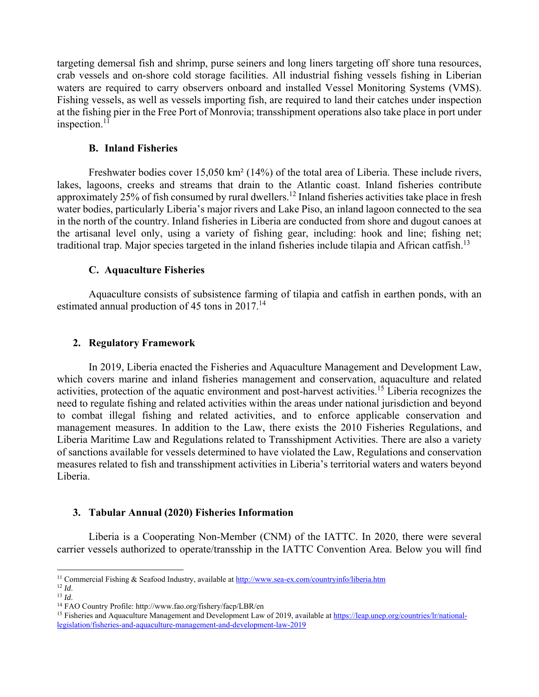targeting demersal fish and shrimp, purse seiners and long liners targeting off shore tuna resources, crab vessels and on-shore cold storage facilities. All industrial fishing vessels fishing in Liberian waters are required to carry observers onboard and installed Vessel Monitoring Systems (VMS). Fishing vessels, as well as vessels importing fish, are required to land their catches under inspection at the fishing pier in the Free Port of Monrovia; transshipment operations also take place in port under inspection. $11$ 

#### **B. Inland Fisheries**

Freshwater bodies cover 15,050 km<sup>2</sup> (14%) of the total area of Liberia. These include rivers, lakes, lagoons, creeks and streams that drain to the Atlantic coast. Inland fisheries contribute approximately 25% of fish consumed by rural dwellers.<sup>12</sup> Inland fisheries activities take place in fresh water bodies, particularly Liberia's major rivers and Lake Piso, an inland lagoon connected to the sea in the north of the country. Inland fisheries in Liberia are conducted from shore and dugout canoes at the artisanal level only, using a variety of fishing gear, including: hook and line; fishing net; traditional trap. Major species targeted in the inland fisheries include tilapia and African catfish.<sup>13</sup>

#### **C. Aquaculture Fisheries**

Aquaculture consists of subsistence farming of tilapia and catfish in earthen ponds, with an estimated annual production of 45 tons in 2017.<sup>14</sup>

#### **2. Regulatory Framework**

In 2019, Liberia enacted the Fisheries and Aquaculture Management and Development Law, which covers marine and inland fisheries management and conservation, aquaculture and related activities, protection of the aquatic environment and post-harvest activities.<sup>15</sup> Liberia recognizes the need to regulate fishing and related activities within the areas under national jurisdiction and beyond to combat illegal fishing and related activities, and to enforce applicable conservation and management measures. In addition to the Law, there exists the 2010 Fisheries Regulations, and Liberia Maritime Law and Regulations related to Transshipment Activities. There are also a variety of sanctions available for vessels determined to have violated the Law, Regulations and conservation measures related to fish and transshipment activities in Liberia's territorial waters and waters beyond Liberia.

### **3. Tabular Annual (2020) Fisheries Information**

Liberia is a Cooperating Non-Member (CNM) of the IATTC. In 2020, there were several carrier vessels authorized to operate/transship in the IATTC Convention Area. Below you will find

 <sup>11</sup> Commercial Fishing & Seafood Industry, available at  $\frac{http://www.sea-ex.com/countryinfo/liberia.htm}{ld}$ 

<sup>&</sup>lt;sup>13</sup> *Id.*<br><sup>14</sup> FAO Country Profile: http://www.fao.org/fishery/facp/LBR/en<br><sup>15</sup> Fisheries and Aquaculture Management and Development Law of 2019, available at <u>https://leap.unep.org/countries/lr/national-</u> legislation/fisheries-and-aquaculture-management-and-development-law-2019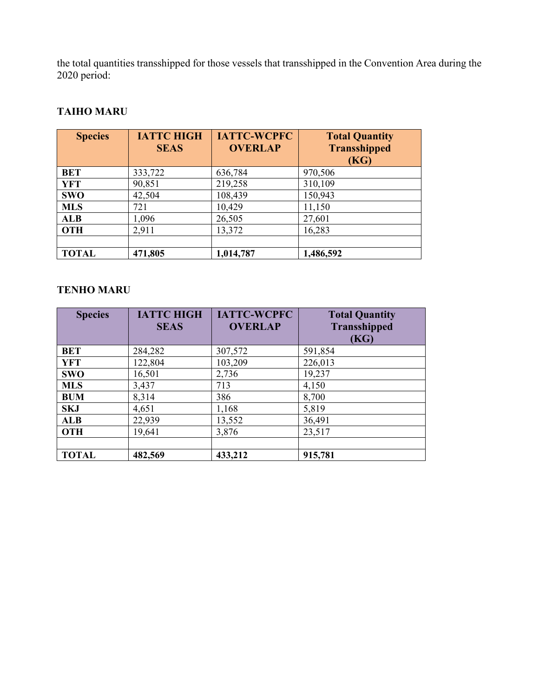the total quantities transshipped for those vessels that transshipped in the Convention Area during the 2020 period:

# **TAIHO MARU**

| <b>Species</b> | <b>IATTC HIGH</b> | <b>IATTC-WCPFC</b> | <b>Total Quantity</b> |
|----------------|-------------------|--------------------|-----------------------|
|                | <b>SEAS</b>       | <b>OVERLAP</b>     | <b>Transshipped</b>   |
|                |                   |                    | (KG)                  |
| BET            | 333,722           | 636,784            | 970,506               |
| YFT            | 90,851            | 219,258            | 310,109               |
| <b>SWO</b>     | 42,504            | 108,439            | 150,943               |
| <b>MLS</b>     | 721               | 10,429             | 11,150                |
| <b>ALB</b>     | 1,096             | 26,505             | 27,601                |
| <b>OTH</b>     | 2,911             | 13,372             | 16,283                |
|                |                   |                    |                       |
| <b>TOTAL</b>   | 471,805           | 1,014,787          | 1,486,592             |

# **TENHO MARU**

| <b>Species</b> | <b>IATTC HIGH</b><br><b>SEAS</b> | <b>IATTC-WCPFC</b><br><b>OVERLAP</b> | <b>Total Quantity</b><br><b>Transshipped</b><br>(KG) |
|----------------|----------------------------------|--------------------------------------|------------------------------------------------------|
| <b>BET</b>     | 284,282                          | 307,572                              | 591,854                                              |
| <b>YFT</b>     | 122,804                          | 103,209                              | 226,013                                              |
| <b>SWO</b>     | 16,501                           | 2,736                                | 19,237                                               |
| <b>MLS</b>     | 3,437                            | 713                                  | 4,150                                                |
| <b>BUM</b>     | 8,314                            | 386                                  | 8,700                                                |
| <b>SKJ</b>     | 4,651                            | 1,168                                | 5,819                                                |
| <b>ALB</b>     | 22,939                           | 13,552                               | 36,491                                               |
| <b>OTH</b>     | 19,641                           | 3,876                                | 23,517                                               |
|                |                                  |                                      |                                                      |
| <b>TOTAL</b>   | 482,569                          | 433,212                              | 915,781                                              |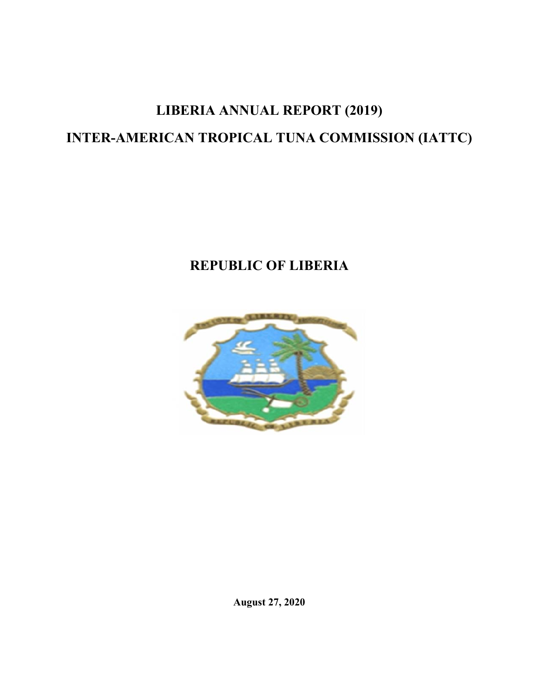# **LIBERIA ANNUAL REPORT (2019) INTER-AMERICAN TROPICAL TUNA COMMISSION (IATTC)**

# **REPUBLIC OF LIBERIA**



**August 27, 2020**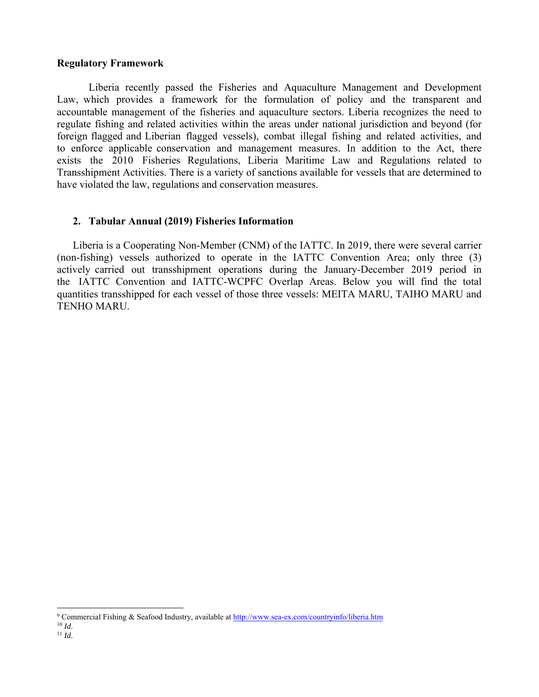#### **Regulatory Framework**

Liberia recently passed the Fisheries and Aquaculture Management and Development Law, which provides a framework for the formulation of policy and the transparent and accountable management of the fisheries and aquaculture sectors. Liberia recognizes the need to regulate fishing and related activities within the areas under national jurisdiction and beyond (for foreign flagged and Liberian flagged vessels), combat illegal fishing and related activities, and to enforce applicable conservation and management measures. In addition to the Act, there exists the 2010 Fisheries Regulations, Liberia Maritime Law and Regulations related to Transshipment Activities. There is a variety of sanctions available for vessels that are determined to have violated the law, regulations and conservation measures.

#### **2. Tabular Annual (2019) Fisheries Information**

Liberia is a Cooperating Non-Member (CNM) of the IATTC. In 2019, there were several carrier (non-fishing) vessels authorized to operate in the IATTC Convention Area; only three (3) actively carried out transshipment operations during the January-December 2019 period in the IATTC Convention and IATTC-WCPFC Overlap Areas. Below you will find the total quantities transshipped for each vessel of those three vessels: MEITA MARU, TAIHO MARU and TENHO MARU.

<sup>&</sup>lt;sup>9</sup> Commercial Fishing & Seafood Industry, available at  $\frac{http://www.sea-ex.com/countryinfo/liberia.htm}{Id}$ 

 $11$  *Id.*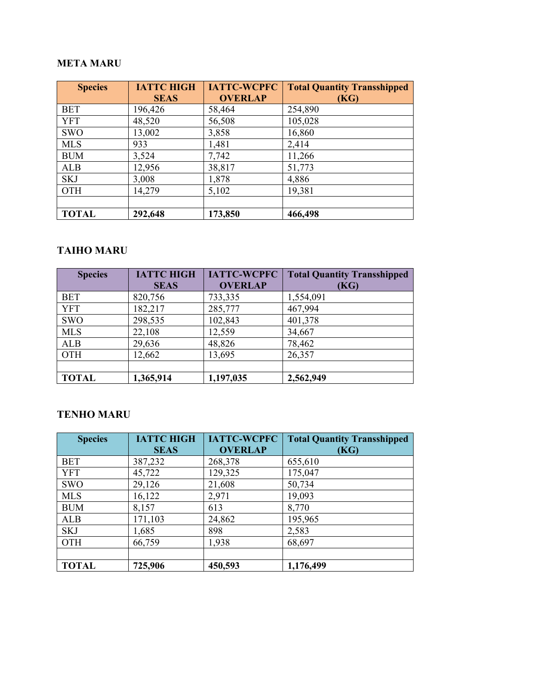# **META MARU**

| <b>Species</b> | <b>IATTC HIGH</b> | <b>IATTC-WCPFC</b> | <b>Total Quantity Transshipped</b> |
|----------------|-------------------|--------------------|------------------------------------|
|                | <b>SEAS</b>       | <b>OVERLAP</b>     | (KG)                               |
| <b>BET</b>     | 196,426           | 58,464             | 254,890                            |
| <b>YFT</b>     | 48,520            | 56,508             | 105,028                            |
| <b>SWO</b>     | 13,002            | 3,858              | 16,860                             |
| <b>MLS</b>     | 933               | 1,481              | 2,414                              |
| <b>BUM</b>     | 3,524             | 7,742              | 11,266                             |
| ALB            | 12,956            | 38,817             | 51,773                             |
| <b>SKJ</b>     | 3,008             | 1,878              | 4,886                              |
| <b>OTH</b>     | 14,279            | 5,102              | 19,381                             |
|                |                   |                    |                                    |
| <b>TOTAL</b>   | 292,648           | 173,850            | 466,498                            |

# **TAIHO MARU**

| <b>Species</b> | <b>IATTC HIGH</b> | <b>IATTC-WCPFC</b> | <b>Total Quantity Transshipped</b> |
|----------------|-------------------|--------------------|------------------------------------|
|                | <b>SEAS</b>       | <b>OVERLAP</b>     | (KG)                               |
| <b>BET</b>     | 820,756           | 733,335            | 1,554,091                          |
| <b>YFT</b>     | 182,217           | 285,777            | 467,994                            |
| <b>SWO</b>     | 298,535           | 102,843            | 401,378                            |
| <b>MLS</b>     | 22,108            | 12,559             | 34,667                             |
| <b>ALB</b>     | 29,636            | 48,826             | 78,462                             |
| <b>OTH</b>     | 12,662            | 13,695             | 26,357                             |
|                |                   |                    |                                    |
| <b>TOTAL</b>   | 1,365,914         | 1,197,035          | 2,562,949                          |

# **TENHO MARU**

| <b>Species</b> | <b>IATTC HIGH</b> | <b>IATTC-WCPFC</b> | <b>Total Quantity Transshipped</b> |
|----------------|-------------------|--------------------|------------------------------------|
|                | <b>SEAS</b>       | <b>OVERLAP</b>     | (KG)                               |
| <b>BET</b>     | 387,232           | 268,378            | 655,610                            |
| <b>YFT</b>     | 45,722            | 129,325            | 175,047                            |
| <b>SWO</b>     | 29,126            | 21,608             | 50,734                             |
| <b>MLS</b>     | 16,122            | 2,971              | 19,093                             |
| <b>BUM</b>     | 8,157             | 613                | 8,770                              |
| <b>ALB</b>     | 171,103           | 24,862             | 195,965                            |
| <b>SKJ</b>     | 1,685             | 898                | 2,583                              |
| OTH            | 66,759            | 1,938              | 68,697                             |
|                |                   |                    |                                    |
| <b>TOTAL</b>   | 725,906           | 450,593            | 1,176,499                          |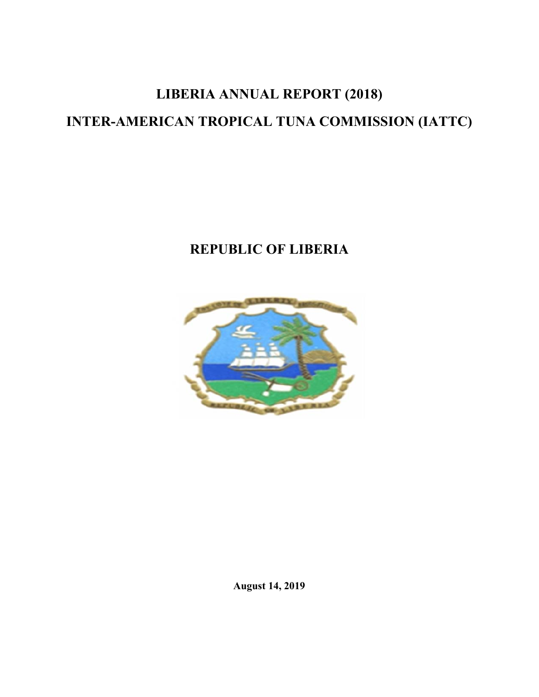# **LIBERIA ANNUAL REPORT (2018) INTER-AMERICAN TROPICAL TUNA COMMISSION (IATTC)**

# **REPUBLIC OF LIBERIA**



**August 14, 2019**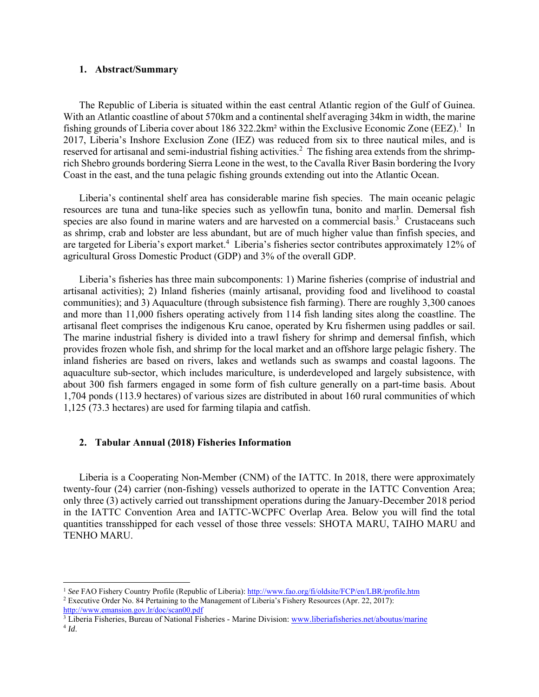#### **1. Abstract/Summary**

The Republic of Liberia is situated within the east central Atlantic region of the Gulf of Guinea. With an Atlantic coastline of about 570km and a continental shelf averaging 34km in width, the marine fishing grounds of Liberia cover about 186 322.2km<sup>2</sup> within the Exclusive Economic Zone (EEZ).<sup>1</sup> In 2017, Liberia's Inshore Exclusion Zone (IEZ) was reduced from six to three nautical miles, and is reserved for artisanal and semi-industrial fishing activities.<sup>2</sup> The fishing area extends from the shrimprich Shebro grounds bordering Sierra Leone in the west, to the Cavalla River Basin bordering the Ivory Coast in the east, and the tuna pelagic fishing grounds extending out into the Atlantic Ocean.

Liberia's continental shelf area has considerable marine fish species. The main oceanic pelagic resources are tuna and tuna-like species such as yellowfin tuna, bonito and marlin. Demersal fish species are also found in marine waters and are harvested on a commercial basis.<sup>3</sup> Crustaceans such as shrimp, crab and lobster are less abundant, but are of much higher value than finfish species, and are targeted for Liberia's export market.<sup>4</sup> Liberia's fisheries sector contributes approximately 12% of agricultural Gross Domestic Product (GDP) and 3% of the overall GDP.

Liberia's fisheries has three main subcomponents: 1) Marine fisheries (comprise of industrial and artisanal activities); 2) Inland fisheries (mainly artisanal, providing food and livelihood to coastal communities); and 3) Aquaculture (through subsistence fish farming). There are roughly 3,300 canoes and more than 11,000 fishers operating actively from 114 fish landing sites along the coastline. The artisanal fleet comprises the indigenous Kru canoe, operated by Kru fishermen using paddles or sail. The marine industrial fishery is divided into a trawl fishery for shrimp and demersal finfish, which provides frozen whole fish, and shrimp for the local market and an offshore large pelagic fishery. The inland fisheries are based on rivers, lakes and wetlands such as swamps and coastal lagoons. The aquaculture sub-sector, which includes mariculture, is underdeveloped and largely subsistence, with about 300 fish farmers engaged in some form of fish culture generally on a part-time basis. About 1,704 ponds (113.9 hectares) of various sizes are distributed in about 160 rural communities of which 1,125 (73.3 hectares) are used for farming tilapia and catfish.

#### **2. Tabular Annual (2018) Fisheries Information**

Liberia is a Cooperating Non-Member (CNM) of the IATTC. In 2018, there were approximately twenty-four (24) carrier (non-fishing) vessels authorized to operate in the IATTC Convention Area; only three (3) actively carried out transshipment operations during the January-December 2018 period in the IATTC Convention Area and IATTC-WCPFC Overlap Area. Below you will find the total quantities transshipped for each vessel of those three vessels: SHOTA MARU, TAIHO MARU and TENHO MARU.

 <sup>1</sup> *See* FAO Fishery Country Profile (Republic of Liberia): http://www.fao.org/fi/oldsite/FCP/en/LBR/profile.htm

<sup>2</sup> Executive Order No. 84 Pertaining to the Management of Liberia's Fishery Resources (Apr. 22, 2017): http://www.emansion.gov.lr/doc/scan00.pdf

<sup>&</sup>lt;sup>3</sup> Liberia Fisheries, Bureau of National Fisheries - Marine Division: www.liberiafisheries.net/aboutus/marine <sup>4</sup> *Id*.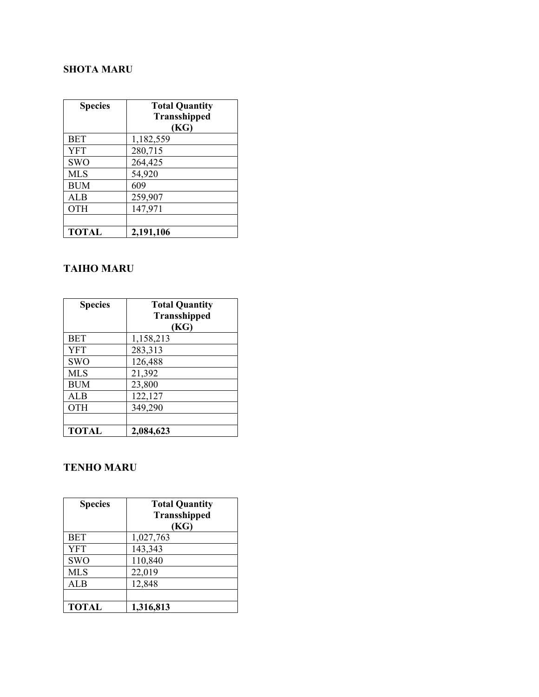# **SHOTA MARU**

| <b>Species</b> | <b>Total Quantity</b><br><b>Transshipped</b><br>(KG) |
|----------------|------------------------------------------------------|
| <b>BET</b>     | 1,182,559                                            |
| <b>YFT</b>     | 280,715                                              |
| <b>SWO</b>     | 264,425                                              |
| <b>MLS</b>     | 54,920                                               |
| <b>BUM</b>     | 609                                                  |
| ALB            | 259,907                                              |
| <b>OTH</b>     | 147,971                                              |
|                |                                                      |
| <b>TOTAL</b>   | 2,191,106                                            |

# **TAIHO MARU**

| <b>Species</b> | <b>Total Quantity</b> |
|----------------|-----------------------|
|                | <b>Transshipped</b>   |
|                | (KG)                  |
| <b>BET</b>     | 1,158,213             |
| <b>YFT</b>     | 283,313               |
| <b>SWO</b>     | 126,488               |
| <b>MLS</b>     | 21,392                |
| <b>BUM</b>     | 23,800                |
| <b>ALB</b>     | 122,127               |
| <b>OTH</b>     | 349,290               |
|                |                       |
| <b>TOTAL</b>   | 2,084,623             |

# **TENHO MARU**

| <b>Species</b> | <b>Total Quantity</b><br><b>Transshipped</b> |
|----------------|----------------------------------------------|
|                | (KG)                                         |
| <b>BET</b>     | 1,027,763                                    |
| <b>YFT</b>     | 143,343                                      |
| <b>SWO</b>     | 110,840                                      |
| <b>MLS</b>     | 22,019                                       |
| ALB            | 12,848                                       |
|                |                                              |
| <b>TOTAL</b>   | 1,316,813                                    |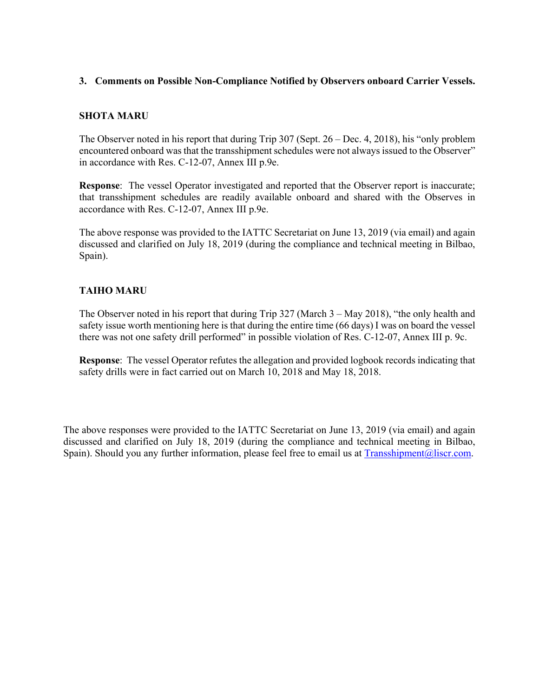#### **3. Comments on Possible Non-Compliance Notified by Observers onboard Carrier Vessels.**

#### **SHOTA MARU**

The Observer noted in his report that during Trip 307 (Sept. 26 – Dec. 4, 2018), his "only problem encountered onboard was that the transshipment schedules were not always issued to the Observer" in accordance with Res. C-12-07, Annex III p.9e.

**Response**: The vessel Operator investigated and reported that the Observer report is inaccurate; that transshipment schedules are readily available onboard and shared with the Observes in accordance with Res. C-12-07, Annex III p.9e.

The above response was provided to the IATTC Secretariat on June 13, 2019 (via email) and again discussed and clarified on July 18, 2019 (during the compliance and technical meeting in Bilbao, Spain).

### **TAIHO MARU**

The Observer noted in his report that during Trip 327 (March 3 – May 2018), "the only health and safety issue worth mentioning here is that during the entire time (66 days) I was on board the vessel there was not one safety drill performed" in possible violation of Res. C-12-07, Annex III p. 9c.

**Response**: The vessel Operator refutes the allegation and provided logbook records indicating that safety drills were in fact carried out on March 10, 2018 and May 18, 2018.

The above responses were provided to the IATTC Secretariat on June 13, 2019 (via email) and again discussed and clarified on July 18, 2019 (during the compliance and technical meeting in Bilbao, Spain). Should you any further information, please feel free to email us at Transshipment@liscr.com.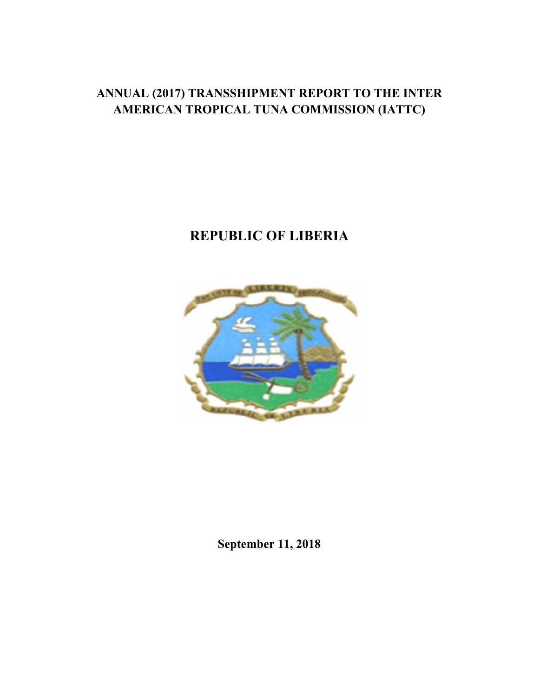# **ANNUAL (2017) TRANSSHIPMENT REPORT TO THE INTER AMERICAN TROPICAL TUNA COMMISSION (IATTC)**

# **REPUBLIC OF LIBERIA**



**September 11, 2018**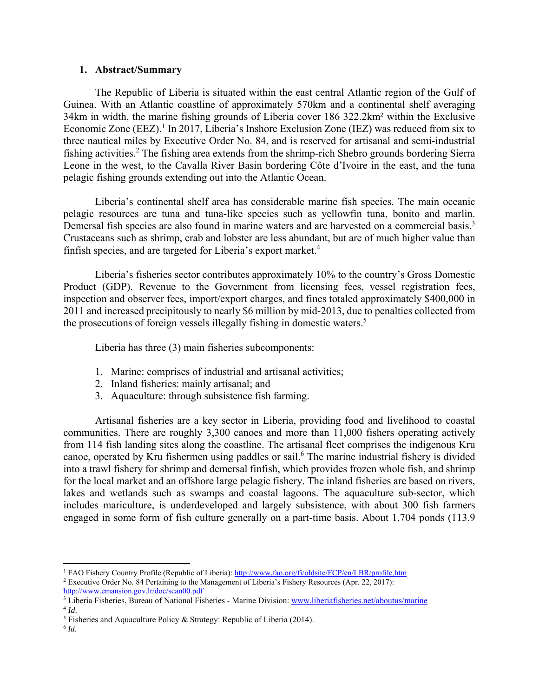#### **1. Abstract/Summary**

The Republic of Liberia is situated within the east central Atlantic region of the Gulf of Guinea. With an Atlantic coastline of approximately 570km and a continental shelf averaging 34km in width, the marine fishing grounds of Liberia cover 186 322.2km² within the Exclusive Economic Zone (EEZ).<sup>1</sup> In 2017, Liberia's Inshore Exclusion Zone (IEZ) was reduced from six to three nautical miles by Executive Order No. 84, and is reserved for artisanal and semi-industrial fishing activities.<sup>2</sup> The fishing area extends from the shrimp-rich Shebro grounds bordering Sierra Leone in the west, to the Cavalla River Basin bordering Côte d'Ivoire in the east, and the tuna pelagic fishing grounds extending out into the Atlantic Ocean.

Liberia's continental shelf area has considerable marine fish species. The main oceanic pelagic resources are tuna and tuna-like species such as yellowfin tuna, bonito and marlin. Demersal fish species are also found in marine waters and are harvested on a commercial basis.<sup>3</sup> Crustaceans such as shrimp, crab and lobster are less abundant, but are of much higher value than finfish species, and are targeted for Liberia's export market.<sup>4</sup>

Liberia's fisheries sector contributes approximately 10% to the country's Gross Domestic Product (GDP). Revenue to the Government from licensing fees, vessel registration fees, inspection and observer fees, import/export charges, and fines totaled approximately \$400,000 in 2011 and increased precipitously to nearly \$6 million by mid-2013, due to penalties collected from the prosecutions of foreign vessels illegally fishing in domestic waters.<sup>5</sup>

Liberia has three (3) main fisheries subcomponents:

- 1. Marine: comprises of industrial and artisanal activities;
- 2. Inland fisheries: mainly artisanal; and
- 3. Aquaculture: through subsistence fish farming.

Artisanal fisheries are a key sector in Liberia, providing food and livelihood to coastal communities. There are roughly 3,300 canoes and more than 11,000 fishers operating actively from 114 fish landing sites along the coastline. The artisanal fleet comprises the indigenous Kru canoe, operated by Kru fishermen using paddles or sail.<sup>6</sup> The marine industrial fishery is divided into a trawl fishery for shrimp and demersal finfish, which provides frozen whole fish, and shrimp for the local market and an offshore large pelagic fishery. The inland fisheries are based on rivers, lakes and wetlands such as swamps and coastal lagoons. The aquaculture sub-sector, which includes mariculture, is underdeveloped and largely subsistence, with about 300 fish farmers engaged in some form of fish culture generally on a part-time basis. About 1,704 ponds (113.9

<sup>&</sup>lt;sup>1</sup> FAO Fishery Country Profile (Republic of Liberia): http://www.fao.org/fi/oldsite/FCP/en/LBR/profile.htm Executive Order No. 84 Pertaining to the Management of Liberia's Fishery Resources (Apr. 22, 2017):

http://www.emansion.gov.lr/doc/scan00.pdf

<sup>&</sup>lt;sup>3</sup> Liberia Fisheries, Bureau of National Fisheries - Marine Division: www.liberiafisheries.net/aboutus/marine  $4$  *Id.* 

<sup>&</sup>lt;sup>5</sup> Fisheries and Aquaculture Policy & Strategy: Republic of Liberia (2014).

<sup>6</sup> *Id*.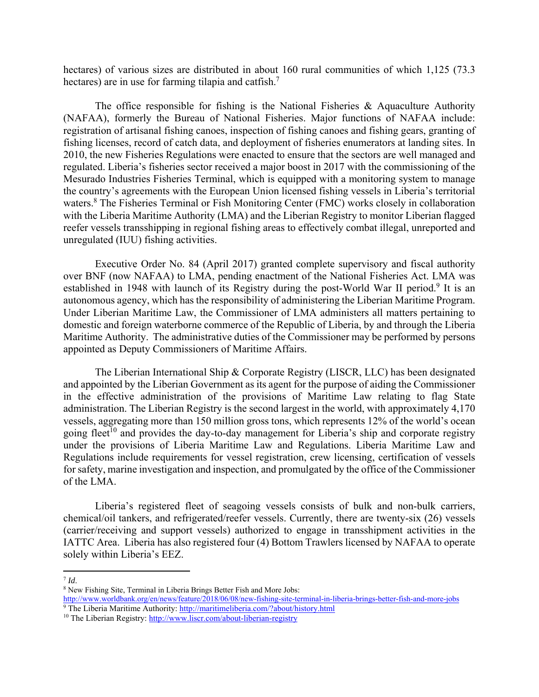hectares) of various sizes are distributed in about 160 rural communities of which 1,125 (73.3) hectares) are in use for farming tilapia and catfish.<sup>7</sup>

The office responsible for fishing is the National Fisheries  $\&$  Aquaculture Authority (NAFAA), formerly the Bureau of National Fisheries. Major functions of NAFAA include: registration of artisanal fishing canoes, inspection of fishing canoes and fishing gears, granting of fishing licenses, record of catch data, and deployment of fisheries enumerators at landing sites. In 2010, the new Fisheries Regulations were enacted to ensure that the sectors are well managed and regulated. Liberia's fisheries sector received a major boost in 2017 with the commissioning of the Mesurado Industries Fisheries Terminal, which is equipped with a monitoring system to manage the country's agreements with the European Union licensed fishing vessels in Liberia's territorial waters.<sup>8</sup> The Fisheries Terminal or Fish Monitoring Center (FMC) works closely in collaboration with the Liberia Maritime Authority (LMA) and the Liberian Registry to monitor Liberian flagged reefer vessels transshipping in regional fishing areas to effectively combat illegal, unreported and unregulated (IUU) fishing activities.

Executive Order No. 84 (April 2017) granted complete supervisory and fiscal authority over BNF (now NAFAA) to LMA, pending enactment of the National Fisheries Act. LMA was established in 1948 with launch of its Registry during the post-World War II period.<sup>9</sup> It is an autonomous agency, which has the responsibility of administering the Liberian Maritime Program. Under Liberian Maritime Law, the Commissioner of LMA administers all matters pertaining to domestic and foreign waterborne commerce of the Republic of Liberia, by and through the Liberia Maritime Authority. The administrative duties of the Commissioner may be performed by persons appointed as Deputy Commissioners of Maritime Affairs.

The Liberian International Ship & Corporate Registry (LISCR, LLC) has been designated and appointed by the Liberian Government as its agent for the purpose of aiding the Commissioner in the effective administration of the provisions of Maritime Law relating to flag State administration. The Liberian Registry is the second largest in the world, with approximately 4,170 vessels, aggregating more than 150 million gross tons, which represents 12% of the world's ocean going fleet<sup>10</sup> and provides the day-to-day management for Liberia's ship and corporate registry under the provisions of Liberia Maritime Law and Regulations. Liberia Maritime Law and Regulations include requirements for vessel registration, crew licensing, certification of vessels for safety, marine investigation and inspection, and promulgated by the office of the Commissioner of the LMA.

Liberia's registered fleet of seagoing vessels consists of bulk and non-bulk carriers, chemical/oil tankers, and refrigerated/reefer vessels. Currently, there are twenty-six (26) vessels (carrier/receiving and support vessels) authorized to engage in transshipment activities in the IATTC Area. Liberia has also registered four (4) Bottom Trawlers licensed by NAFAA to operate solely within Liberia's EEZ.

 $7$  *Id*.<br> $8$  New Fishing Site, Terminal in Liberia Brings Better Fish and More Jobs: http://www.worldbank.org/en/news/feature/2018/06/08/new-fishing-site-terminal-in-liberia-brings-better-fish-and-more-jobs <sup>9</sup> The Liberia Maritime Authority: http://maritimeliberia.com/?about/history.html

 $10$  The Liberian Registry: http://www.liscr.com/about-liberian-registry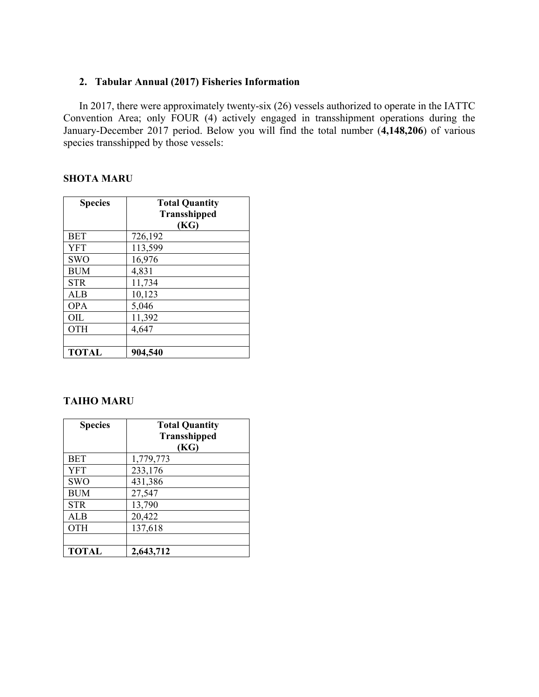# **2. Tabular Annual (2017) Fisheries Information**

In 2017, there were approximately twenty-six (26) vessels authorized to operate in the IATTC Convention Area; only FOUR (4) actively engaged in transshipment operations during the January-December 2017 period. Below you will find the total number (**4,148,206**) of various species transshipped by those vessels:

## **SHOTA MARU**

| <b>Species</b> | <b>Total Quantity</b> |
|----------------|-----------------------|
|                | <b>Transshipped</b>   |
|                | (KG)                  |
| <b>BET</b>     | 726,192               |
| <b>YFT</b>     | 113,599               |
| <b>SWO</b>     | 16,976                |
| <b>BUM</b>     | 4,831                 |
| <b>STR</b>     | 11,734                |
| <b>ALB</b>     | 10,123                |
| <b>OPA</b>     | 5,046                 |
| OIL            | 11,392                |
| <b>OTH</b>     | 4,647                 |
|                |                       |
| <b>TOTAL</b>   | 904,540               |

# **TAIHO MARU**

| <b>Species</b> | <b>Total Quantity</b> |
|----------------|-----------------------|
|                | <b>Transshipped</b>   |
|                | (KG)                  |
| <b>BET</b>     | 1,779,773             |
| <b>YFT</b>     | 233,176               |
| <b>SWO</b>     | 431,386               |
| <b>BUM</b>     | 27,547                |
| <b>STR</b>     | 13,790                |
| <b>ALB</b>     | 20,422                |
| OTH            | 137,618               |
|                |                       |
| <b>TOTAL</b>   | 2,643,712             |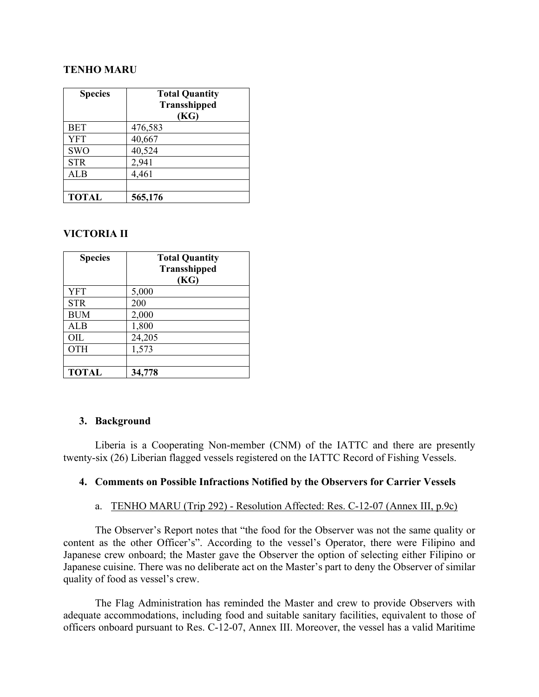# **TENHO MARU**

| <b>Species</b> | <b>Total Quantity</b> |
|----------------|-----------------------|
|                | <b>Transshipped</b>   |
|                | (KG)                  |
| <b>BET</b>     | 476,583               |
| <b>YFT</b>     | 40,667                |
| <b>SWO</b>     | 40,524                |
| <b>STR</b>     | 2,941                 |
| ALB            | 4,461                 |
|                |                       |
| <b>TOTAL</b>   | 565,176               |

### **VICTORIA II**

| <b>Species</b> | <b>Total Quantity</b><br><b>Transshipped</b><br>(KG) |
|----------------|------------------------------------------------------|
| <b>YFT</b>     | 5,000                                                |
| <b>STR</b>     | 200                                                  |
| <b>BUM</b>     | 2,000                                                |
| ALB            | 1,800                                                |
| OIL            | 24,205                                               |
| <b>OTH</b>     | 1,573                                                |
|                |                                                      |
| <b>TOTAL</b>   | 34,778                                               |

### **3. Background**

Liberia is a Cooperating Non-member (CNM) of the IATTC and there are presently twenty-six (26) Liberian flagged vessels registered on the IATTC Record of Fishing Vessels.

### **4. Comments on Possible Infractions Notified by the Observers for Carrier Vessels**

### a. TENHO MARU (Trip 292) - Resolution Affected: Res. C-12-07 (Annex III, p.9c)

The Observer's Report notes that "the food for the Observer was not the same quality or content as the other Officer's". According to the vessel's Operator, there were Filipino and Japanese crew onboard; the Master gave the Observer the option of selecting either Filipino or Japanese cuisine. There was no deliberate act on the Master's part to deny the Observer of similar quality of food as vessel's crew.

The Flag Administration has reminded the Master and crew to provide Observers with adequate accommodations, including food and suitable sanitary facilities, equivalent to those of officers onboard pursuant to Res. C-12-07, Annex III. Moreover, the vessel has a valid Maritime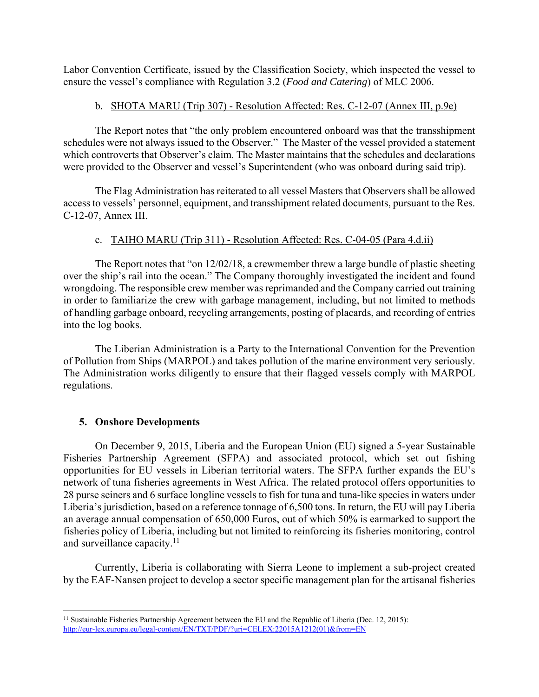Labor Convention Certificate, issued by the Classification Society, which inspected the vessel to ensure the vessel's compliance with Regulation 3.2 (*Food and Catering*) of MLC 2006.

## b. SHOTA MARU (Trip 307) - Resolution Affected: Res. C-12-07 (Annex III, p.9e)

The Report notes that "the only problem encountered onboard was that the transshipment schedules were not always issued to the Observer." The Master of the vessel provided a statement which controverts that Observer's claim. The Master maintains that the schedules and declarations were provided to the Observer and vessel's Superintendent (who was onboard during said trip).

The Flag Administration has reiterated to all vessel Masters that Observers shall be allowed access to vessels' personnel, equipment, and transshipment related documents, pursuant to the Res. C-12-07, Annex III.

# c. TAIHO MARU (Trip 311) - Resolution Affected: Res. C-04-05 (Para 4.d.ii)

The Report notes that "on 12/02/18, a crewmember threw a large bundle of plastic sheeting over the ship's rail into the ocean." The Company thoroughly investigated the incident and found wrongdoing. The responsible crew member was reprimanded and the Company carried out training in order to familiarize the crew with garbage management, including, but not limited to methods of handling garbage onboard, recycling arrangements, posting of placards, and recording of entries into the log books.

The Liberian Administration is a Party to the International Convention for the Prevention of Pollution from Ships (MARPOL) and takes pollution of the marine environment very seriously. The Administration works diligently to ensure that their flagged vessels comply with MARPOL regulations.

# **5. Onshore Developments**

On December 9, 2015, Liberia and the European Union (EU) signed a 5-year Sustainable Fisheries Partnership Agreement (SFPA) and associated protocol, which set out fishing opportunities for EU vessels in Liberian territorial waters. The SFPA further expands the EU's network of tuna fisheries agreements in West Africa. The related protocol offers opportunities to 28 purse seiners and 6 surface longline vessels to fish for tuna and tuna-like species in waters under Liberia's jurisdiction, based on a reference tonnage of 6,500 tons. In return, the EU will pay Liberia an average annual compensation of 650,000 Euros, out of which 50% is earmarked to support the fisheries policy of Liberia, including but not limited to reinforcing its fisheries monitoring, control and surveillance capacity.<sup>11</sup>

Currently, Liberia is collaborating with Sierra Leone to implement a sub-project created by the EAF-Nansen project to develop a sector specific management plan for the artisanal fisheries

 <sup>11</sup> Sustainable Fisheries Partnership Agreement between the EU and the Republic of Liberia (Dec. 12, 2015): http://eur-lex.europa.eu/legal-content/EN/TXT/PDF/?uri=CELEX:22015A1212(01)&from=EN